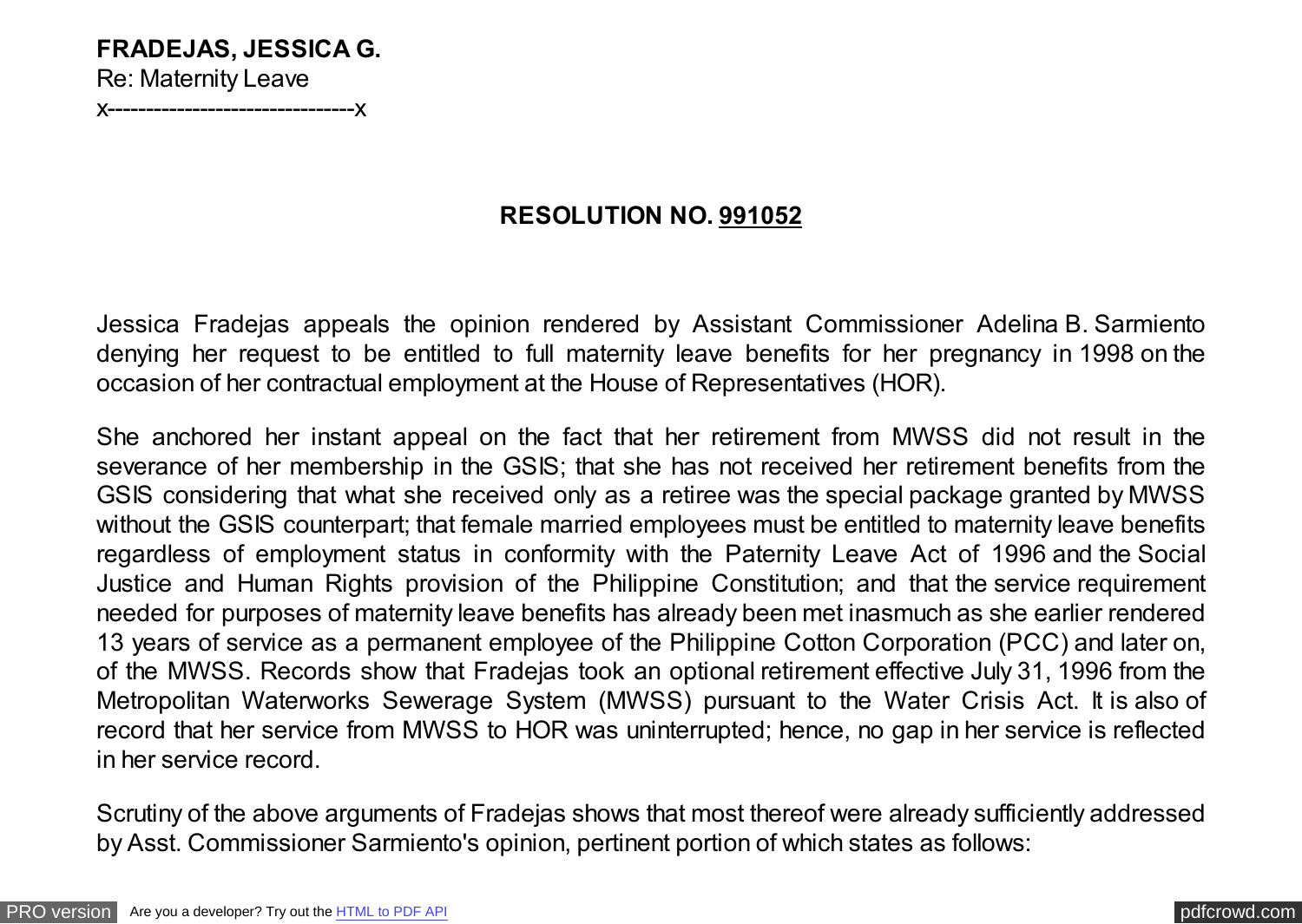## **FRADEJAS, JESSICA G.** Re: Maternity Leave

x--------------------------------x

## **RESOLUTION NO. 991052**

Jessica Fradejas appeals the opinion rendered by Assistant Commissioner Adelina B. Sarmiento denying her request to be entitled to full maternity leave benefits for her pregnancy in 1998 on the occasion of her contractual employment at the House of Representatives (HOR).

She anchored her instant appeal on the fact that her retirement from MWSS did not result in the severance of her membership in the GSIS; that she has not received her retirement benefits from the GSIS considering that what she received only as a retiree was the special package granted by MWSS without the GSIS counterpart; that female married employees must be entitled to maternity leave benefits regardless of employment status in conformity with the Paternity Leave Act of 1996 and the Social Justice and Human Rights provision of the Philippine Constitution; and that the service requirement needed for purposes of maternity leave benefits has already been met inasmuch as she earlier rendered 13 years of service as a permanent employee of the Philippine Cotton Corporation (PCC) and later on, of the MWSS. Records show that Fradejas took an optional retirement effective July 31, 1996 from the Metropolitan Waterworks Sewerage System (MWSS) pursuant to the Water Crisis Act. It is also of record that her service from MWSS to HOR was uninterrupted; hence, no gap in her service is reflected in her service record.

Scrutiny of the above arguments of Fradejas shows that most thereof were already sufficiently addressed by Asst. Commissioner Sarmiento's opinion, pertinent portion of which states as follows: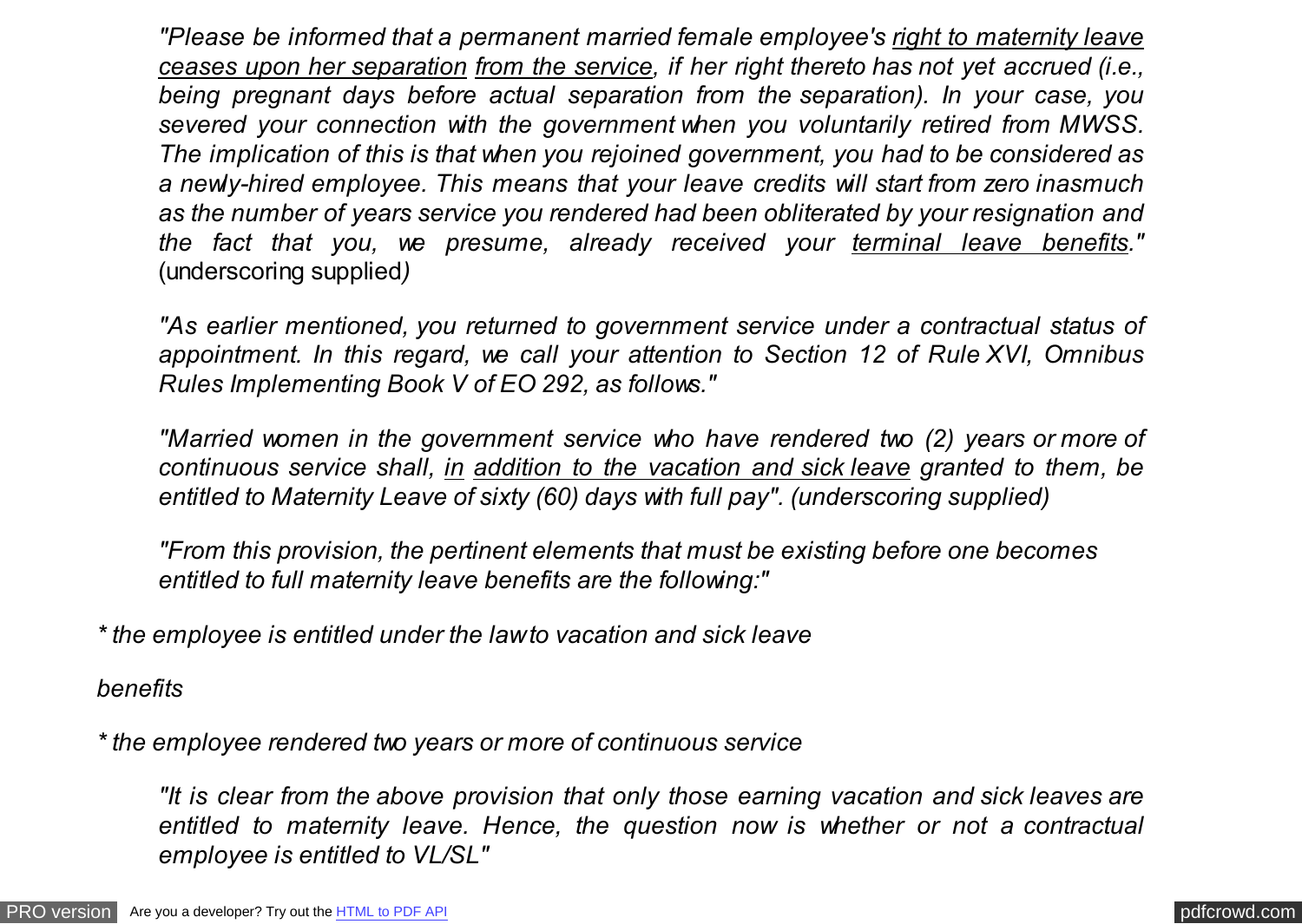*"Please be informed that a permanent married female employee's right to maternity leave ceases upon her separation from the service, if her right thereto has not yet accrued (i.e., being pregnant days before actual separation from the separation). In your case, you severed your connection with the government when you voluntarily retired from MWSS. The implication of this is that when you rejoined government, you had to be considered as a newly-hired employee. This means that your leave credits will start from zero inasmuch as the number of years service you rendered had been obliterated by your resignation and the fact that you, we presume, already received your terminal leave benefits."* (underscoring supplied*)*

*"As earlier mentioned, you returned to government service under a contractual status of appointment. In this regard, we call your attention to Section 12 of Rule XVI, Omnibus Rules Implementing Book V of EO 292, as follows."*

*"Married women in the government service who have rendered two (2) years or more of continuous service shall, in addition to the vacation and sick leave granted to them, be entitled to Maternity Leave of sixty (60) days with full pay". (underscoring supplied)*

*"From this provision, the pertinent elements that must be existing before one becomes entitled to full maternity leave benefits are the following:"*

*\* the employee is entitled under the law to vacation and sick leave*

*benefits*

*\* the employee rendered two years or more of continuous service*

*"It is clear from the above provision that only those earning vacation and sick leaves are entitled to maternity leave. Hence, the question now is whether or not a contractual employee is entitled to VL/SL"*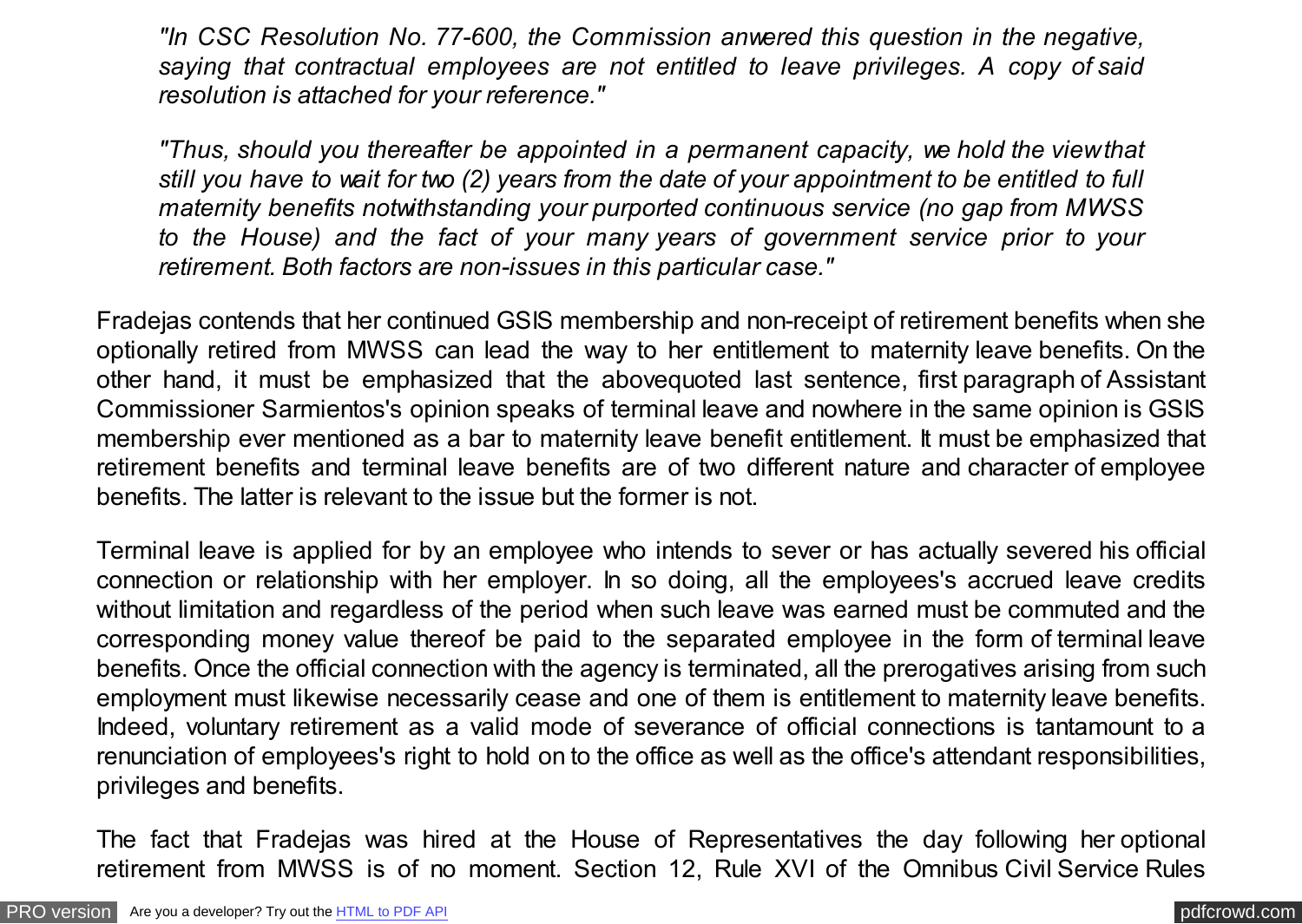*"In CSC Resolution No. 77-600, the Commission anwered this question in the negative, saying that contractual employees are not entitled to leave privileges. A copy of said resolution is attached for your reference."*

*"Thus, should you thereafter be appointed in a permanent capacity, we hold the view that still you have to wait for two (2) years from the date of your appointment to be entitled to full maternity benefits notwithstanding your purported continuous service (no gap from MWSS to the House) and the fact of your many years of government service prior to your retirement. Both factors are non-issues in this particular case."*

Fradejas contends that her continued GSIS membership and non-receipt of retirement benefits when she optionally retired from MWSS can lead the way to her entitlement to maternity leave benefits. On the other hand, it must be emphasized that the abovequoted last sentence, first paragraph of Assistant Commissioner Sarmientos's opinion speaks of terminal leave and nowhere in the same opinion is GSIS membership ever mentioned as a bar to maternity leave benefit entitlement. It must be emphasized that retirement benefits and terminal leave benefits are of two different nature and character of employee benefits. The latter is relevant to the issue but the former is not.

Terminal leave is applied for by an employee who intends to sever or has actually severed his official connection or relationship with her employer. In so doing, all the employees's accrued leave credits without limitation and regardless of the period when such leave was earned must be commuted and the corresponding money value thereof be paid to the separated employee in the form of terminal leave benefits. Once the official connection with the agency is terminated, all the prerogatives arising from such employment must likewise necessarily cease and one of them is entitlement to maternity leave benefits. Indeed, voluntary retirement as a valid mode of severance of official connections is tantamount to a renunciation of employees's right to hold on to the office as well as the office's attendant responsibilities, privileges and benefits.

The fact that Fradejas was hired at the House of Representatives the day following her optional retirement from MWSS is of no moment. Section 12, Rule XVI of the Omnibus Civil Service Rules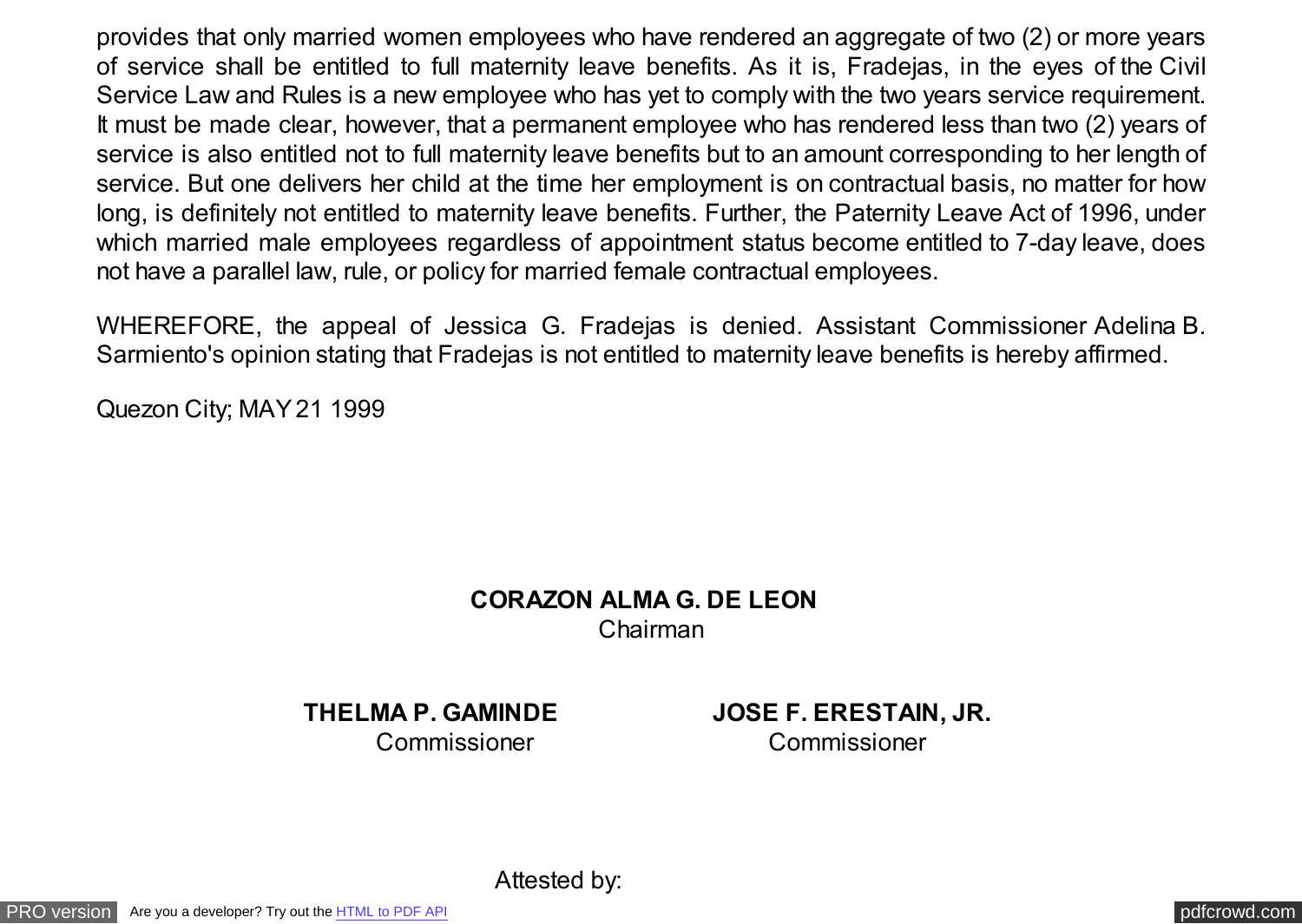provides that only married women employees who have rendered an aggregate of two (2) or more years of service shall be entitled to full maternity leave benefits. As it is, Fradejas, in the eyes of the Civil Service Law and Rules is a new employee who has yet to comply with the two years service requirement. It must be made clear, however, that a permanent employee who has rendered less than two (2) years of service is also entitled not to full maternity leave benefits but to an amount corresponding to her length of service. But one delivers her child at the time her employment is on contractual basis, no matter for how long, is definitely not entitled to maternity leave benefits. Further, the Paternity Leave Act of 1996, under which married male employees regardless of appointment status become entitled to 7-day leave, does not have a parallel law, rule, or policy for married female contractual employees.

WHEREFORE, the appeal of Jessica G. Fradejas is denied. Assistant Commissioner Adelina B. Sarmiento's opinion stating that Fradejas is not entitled to maternity leave benefits is hereby affirmed.

Quezon City; MAY 21 1999

## **CORAZON ALMA G. DE LEON** Chairman

**THELMA P. GAMINDE JOSE F. ERESTAIN, JR.** Commissioner Commissioner

Attested by: